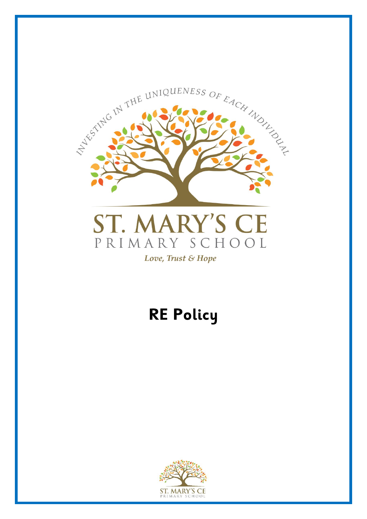

# **RE Policy**

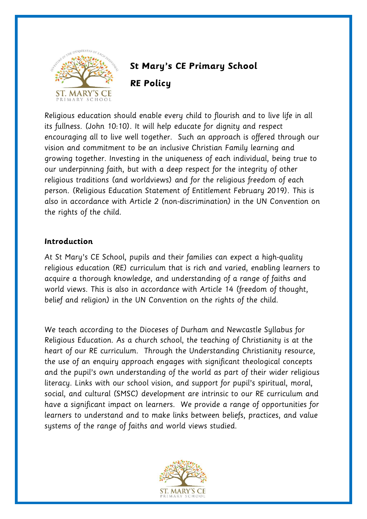

# **St Mary's CE Primary School RE Policy**

Religious education should enable every child to flourish and to live life in all its fullness. (John 10:10). It will help educate for dignity and respect encouraging all to live well together. Such an approach is offered through our vision and commitment to be an inclusive Christian Family learning and growing together. Investing in the uniqueness of each individual, being true to our underpinning faith, but with a deep respect for the integrity of other religious traditions (and worldviews) and for the religious freedom of each person. (Religious Education Statement of Entitlement February 2019). This is also in accordance with Article 2 (non-discrimination) in the UN Convention on the rights of the child.

#### **Introduction**

At St Mary's CE School, pupils and their families can expect a high-quality religious education (RE) curriculum that is rich and varied, enabling learners to acquire a thorough knowledge, and understanding of a range of faiths and world views. This is also in accordance with Article 14 (freedom of thought, belief and religion) in the UN Convention on the rights of the child.

We teach according to the Dioceses of Durham and Newcastle Syllabus for Religious Education. As a church school, the teaching of Christianity is at the heart of our RE curriculum. Through the Understanding Christianity resource, the use of an enquiry approach engages with significant theological concepts and the pupil's own understanding of the world as part of their wider religious literacy. Links with our school vision, and support for pupil's spiritual, moral, social, and cultural (SMSC) development are intrinsic to our RE curriculum and have a significant impact on learners. We provide a range of opportunities for learners to understand and to make links between beliefs, practices, and value systems of the range of faiths and world views studied.

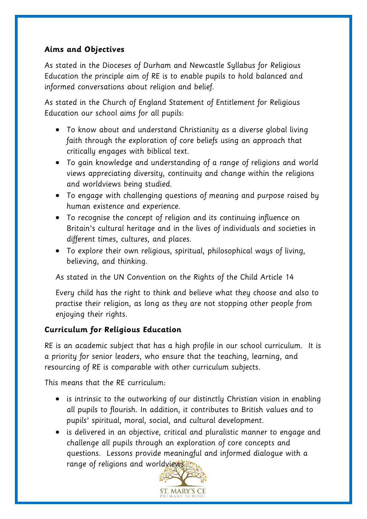# **Aims and Objectives**

As stated in the Dioceses of Durham and Newcastle Syllabus for Religious Education the principle aim of RE is to enable pupils to hold balanced and informed conversations about religion and belief.

As stated in the Church of England Statement of Entitlement for Religious Education our school aims for all pupils:

- To know about and understand Christianity as a diverse global living faith through the exploration of core beliefs using an approach that critically engages with biblical text.
- To gain knowledge and understanding of a range of religions and world views appreciating diversity, continuity and change within the religions and worldviews being studied.
- To engage with challenging questions of meaning and purpose raised by human existence and experience.
- To recognise the concept of religion and its continuing influence on Britain's cultural heritage and in the lives of individuals and societies in different times, cultures, and places.
- To explore their own religious, spiritual, philosophical ways of living, believing, and thinking.

As stated in the UN Convention on the Rights of the Child Article 14

Every child has the right to think and believe what they choose and also to practise their religion, as long as they are not stopping other people from enjoying their rights.

# **Curriculum for Religious Education**

RE is an academic subject that has a high profile in our school curriculum. It is a priority for senior leaders, who ensure that the teaching, learning, and resourcing of RE is comparable with other curriculum subjects.

This means that the RE curriculum:

- is intrinsic to the outworking of our distinctly Christian vision in enabling all pupils to flourish. In addition, it contributes to British values and to pupils' spiritual, moral, social, and cultural development.
- is delivered in an objective, critical and pluralistic manner to engage and challenge all pupils through an exploration of core concepts and questions. Lessons provide meaningful and informed dialogue with a range of religions and worldviews.

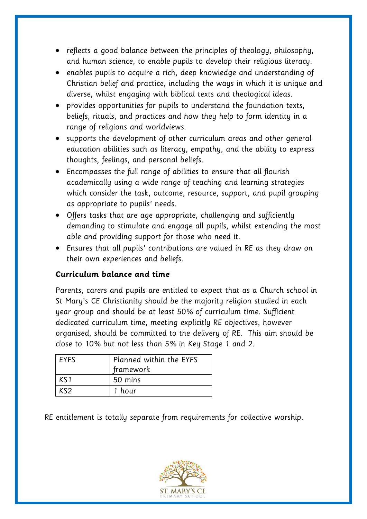- reflects a good balance between the principles of theology, philosophy, and human science, to enable pupils to develop their religious literacy.
- enables pupils to acquire a rich, deep knowledge and understanding of Christian belief and practice, including the ways in which it is unique and diverse, whilst engaging with biblical texts and theological ideas.
- provides opportunities for pupils to understand the foundation texts, beliefs, rituals, and practices and how they help to form identity in a range of religions and worldviews.
- supports the development of other curriculum areas and other general education abilities such as literacy, empathy, and the ability to express thoughts, feelings, and personal beliefs.
- Encompasses the full range of abilities to ensure that all flourish academically using a wide range of teaching and learning strategies which consider the task, outcome, resource, support, and pupil grouping as appropriate to pupils' needs.
- Offers tasks that are age appropriate, challenging and sufficiently demanding to stimulate and engage all pupils, whilst extending the most able and providing support for those who need it.
- Ensures that all pupils' contributions are valued in RE as they draw on their own experiences and beliefs.

# **Curriculum balance and time**

Parents, carers and pupils are entitled to expect that as a Church school in St Mary's CE Christianity should be the majority religion studied in each year group and should be at least 50% of curriculum time. Sufficient dedicated curriculum time, meeting explicitly RE objectives, however organised, should be committed to the delivery of RE. This aim should be close to 10% but not less than 5% in Key Stage 1 and 2.

| <b>EYFS</b> | Planned within the EYFS<br>framework |
|-------------|--------------------------------------|
| KS1         | 50 mins                              |
| KS2.        | 1 hour                               |

RE entitlement is totally separate from requirements for collective worship.

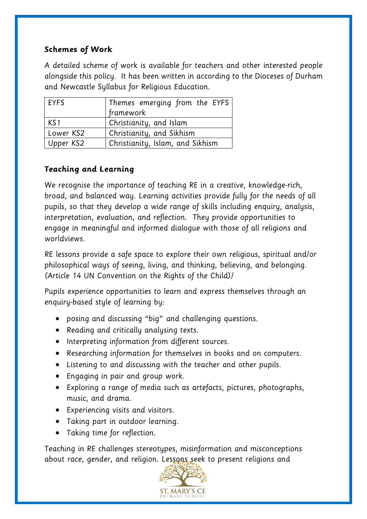#### **Schemes of Work**

A detailed scheme of work is available for teachers and other interested people alongside this policy. It has been written in according to the Dioceses of Durham and Newcastle Syllabus for Religious Education.

| <b>EYFS</b> | Themes emerging from the EYFS    |
|-------------|----------------------------------|
|             | framework                        |
| KS1         | Christianity, and Islam          |
| Lower KS2   | Christianity, and Sikhism        |
| Upper KS2   | Christianity, Islam, and Sikhism |

# **Teaching and Learning**

We recognise the importance of teaching RE in a creative, knowledge-rich, broad, and balanced way. Learning activities provide fully for the needs of all pupils, so that they develop a wide range of skills including enquiry, analysis, interpretation, evaluation, and reflection. They provide opportunities to engage in meaningful and informed dialogue with those of all religions and worldviews.

RE lessons provide a safe space to explore their own religious, spiritual and/or philosophical ways of seeing, living, and thinking, believing, and belonging. (Article 14 UN Convention on the Rights of the Child)/

Pupils experience opportunities to learn and express themselves through an enquiry-based style of learning by:

- posing and discussing "big" and challenging questions.
- Reading and critically analysing texts.
- Interpreting information from different sources.
- Researching information for themselves in books and on computers.
- Listening to and discussing with the teacher and other pupils.
- Engaging in pair and group work.
- Exploring a range of media such as artefacts, pictures, photographs, music, and drama.
- Experiencing visits and visitors.
- Taking part in outdoor learning.
- Taking time for reflection.

Teaching in RE challenges stereotypes, misinformation and misconceptions about race, gender, and religion. Lessons seek to present religions and

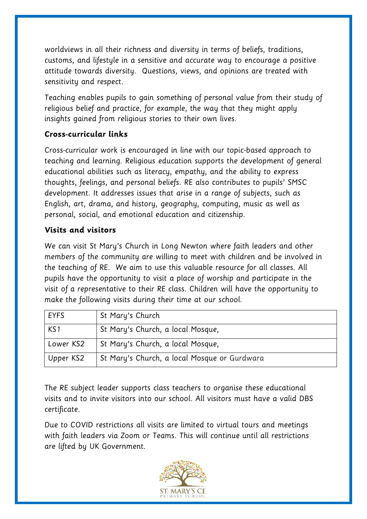worldviews in all their richness and diversity in terms of beliefs, traditions, customs, and lifestyle in a sensitive and accurate way to encourage a positive attitude towards diversity. Questions, views, and opinions are treated with sensitivity and respect.

Teaching enables pupils to gain something of personal value from their study of religious belief and practice, for example, the way that they might apply insights gained from religious stories to their own lives.

#### **Cross-curricular links**

Cross-curricular work is encouraged in line with our topic-based approach to teaching and learning. Religious education supports the development of general educational abilities such as literacy, empathy, and the ability to express thoughts, feelings, and personal beliefs. RE also contributes to pupils' SMSC development. It addresses issues that arise in a range of subjects, such as English, art, drama, and history, geography, computing, music as well as personal, social, and emotional education and citizenship.

#### **Visits and visitors**

We can visit St Mary's Church in Long Newton where faith leaders and other members of the community are willing to meet with children and be involved in the teaching of RE. We aim to use this valuable resource for all classes. All pupils have the opportunity to visit a place of worship and participate in the visit of a representative to their RE class. Children will have the opportunity to make the following visits during their time at our school.

| <b>EYFS</b>     | St Mary's Church                             |
|-----------------|----------------------------------------------|
| KS <sub>1</sub> | St Mary's Church, a local Mosque,            |
| Lower KS2       | St Mary's Church, a local Mosque,            |
| Upper KS2       | St Mary's Church, a local Mosque or Gurdwara |

The RE subject leader supports class teachers to organise these educational visits and to invite visitors into our school. All visitors must have a valid DBS certificate.

Due to COVID restrictions all visits are limited to virtual tours and meetings with faith leaders via Zoom or Teams. This will continue until all restrictions are lifted by UK Government.

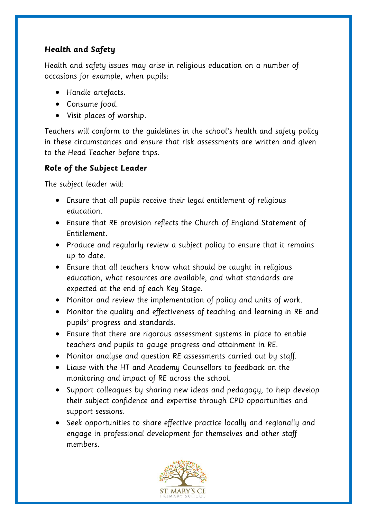# **Health and Safety**

Health and safety issues may arise in religious education on a number of occasions for example, when pupils:

- Handle artefacts.
- Consume food.
- Visit places of worship.

Teachers will conform to the guidelines in the school's health and safety policy in these circumstances and ensure that risk assessments are written and given to the Head Teacher before trips.

# **Role of the Subject Leader**

The subject leader will:

- Ensure that all pupils receive their legal entitlement of religious education.
- Ensure that RE provision reflects the Church of England Statement of Entitlement.
- Produce and regularly review a subject policy to ensure that it remains up to date.
- Ensure that all teachers know what should be taught in religious education, what resources are available, and what standards are expected at the end of each Key Stage.
- Monitor and review the implementation of policy and units of work.
- Monitor the quality and effectiveness of teaching and learning in RE and pupils' progress and standards.
- Ensure that there are rigorous assessment systems in place to enable teachers and pupils to gauge progress and attainment in RE.
- Monitor analyse and question RE assessments carried out by staff.
- Liaise with the HT and Academy Counsellors to feedback on the monitoring and impact of RE across the school.
- Support colleagues by sharing new ideas and pedagogy, to help develop their subject confidence and expertise through CPD opportunities and support sessions.
- Seek opportunities to share effective practice locally and regionally and engage in professional development for themselves and other staff members.

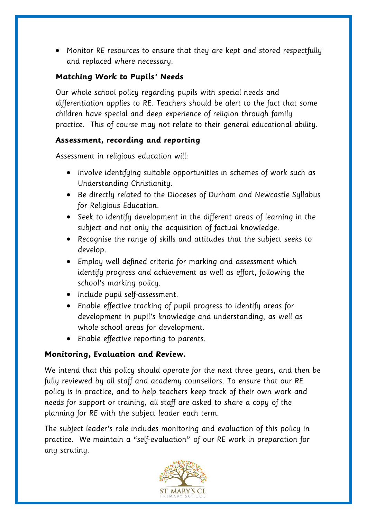• Monitor RE resources to ensure that they are kept and stored respectfully and replaced where necessary.

# **Matching Work to Pupils' Needs**

Our whole school policy regarding pupils with special needs and differentiation applies to RE. Teachers should be alert to the fact that some children have special and deep experience of religion through family practice. This of course may not relate to their general educational ability.

#### **Assessment, recording and reporting**

Assessment in religious education will:

- Involve identifying suitable opportunities in schemes of work such as Understanding Christianity.
- Be directly related to the Dioceses of Durham and Newcastle Syllabus for Religious Education.
- Seek to identify development in the different areas of learning in the subject and not only the acquisition of factual knowledge.
- Recognise the range of skills and attitudes that the subject seeks to develop.
- Employ well defined criteria for marking and assessment which identify progress and achievement as well as effort, following the school's marking policy.
- Include pupil self-assessment.
- Enable effective tracking of pupil progress to identify areas for development in pupil's knowledge and understanding, as well as whole school areas for development.
- Enable effective reporting to parents.

# **Monitoring, Evaluation and Review.**

We intend that this policy should operate for the next three years, and then be fully reviewed by all staff and academy counsellors. To ensure that our RE policy is in practice, and to help teachers keep track of their own work and needs for support or training, all staff are asked to share a copy of the planning for RE with the subject leader each term.

The subject leader's role includes monitoring and evaluation of this policy in practice. We maintain a "self-evaluation" of our RE work in preparation for any scrutiny.

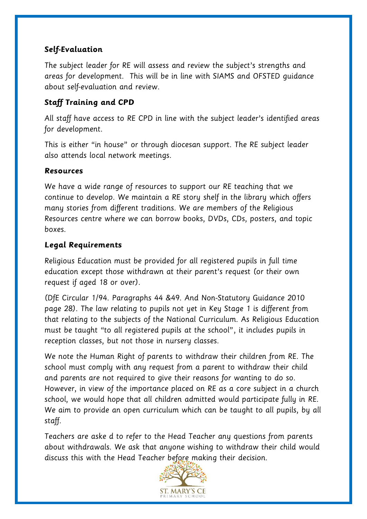#### **Self-Evaluation**

The subject leader for RE will assess and review the subject's strengths and areas for development. This will be in line with SIAMS and OFSTED guidance about self-evaluation and review.

#### **Staff Training and CPD**

All staff have access to RE CPD in line with the subject leader's identified areas for development.

This is either "in house" or through diocesan support. The RE subject leader also attends local network meetings.

#### **Resources**

We have a wide range of resources to support our RE teaching that we continue to develop. We maintain a RE story shelf in the library which offers many stories from different traditions. We are members of the Religious Resources centre where we can borrow books, DVDs, CDs, posters, and topic boxes.

#### **Legal Requirements**

Religious Education must be provided for all registered pupils in full time education except those withdrawn at their parent's request (or their own request if aged 18 or over).

(DfE Circular 1/94. Paragraphs 44 &49. And Non-Statutory Guidance 2010 page 28). The law relating to pupils not yet in Key Stage 1 is different from that relating to the subjects of the National Curriculum. As Religious Education must be taught "to all registered pupils at the school", it includes pupils in reception classes, but not those in nursery classes.

We note the Human Right of parents to withdraw their children from RE. The school must comply with any request from a parent to withdraw their child and parents are not required to give their reasons for wanting to do so. However, in view of the importance placed on RE as a core subject in a church school, we would hope that all children admitted would participate fully in RE. We aim to provide an open curriculum which can be taught to all pupils, by all staff.

Teachers are aske d to refer to the Head Teacher any questions from parents about withdrawals. We ask that anyone wishing to withdraw their child would discuss this with the Head Teacher before making their decision.